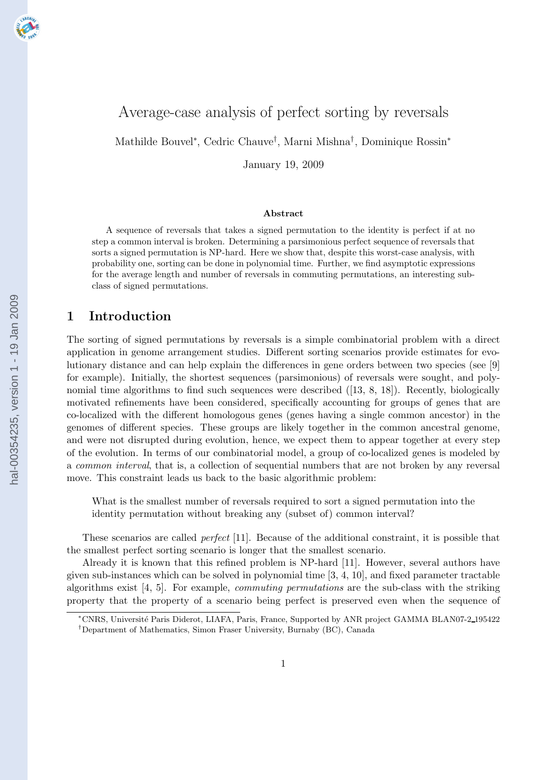

# Average-case analysis of perfect sorting by reversals

Mathilde Bouvel<sup>∗</sup> , Cedric Chauve† , Marni Mishna† , Dominique Rossin<sup>∗</sup>

January 19, 2009

#### Abstract

A sequence of reversals that takes a signed permutation to the identity is perfect if at no step a common interval is broken. Determining a parsimonious perfect sequence of reversals that sorts a signed permutation is NP-hard. Here we show that, despite this worst-case analysis, with probability one, sorting can be done in polynomial time. Further, we find asymptotic expressions for the average length and number of reversals in commuting permutations, an interesting subclass of signed permutations.

### 1 Introduction

The sorting of signed permutations by reversals is a simple combinatorial problem with a direct application in genome arrangement studies. Different sorting scenarios provide estimates for evolutionary distance and can help explain the differences in gene orders between two species (see [\[9\]](#page-10-0) for example). Initially, the shortest sequences (parsimonious) of reversals were sought, and poly-nomial time algorithms to find such sequences were described ([[13](#page-10-0), [8](#page-10-0), [18](#page-11-0)]). Recently, biologically motivated refinements have been considered, specifically accounting for groups of genes that are co-localized with the different homologous genes (genes having a single common ancestor) in the genomes of different species. These groups are likely together in the common ancestral genome, and were not disrupted during evolution, hence, we expect them to appear together at every step of the evolution. In terms of our combinatorial model, a group of co-localized genes is modeled by a *common interval*, that is, a collection of sequential numbers that are not broken by any reversal move. This constraint leads us back to the basic algorithmic problem:

What is the smallest number of reversals required to sort a signed permutation into the identity permutation without breaking any (subset of) common interval?

These scenarios are called *perfect* [\[11](#page-10-0)]. Because of the additional constraint, it is possible that the smallest perfect sorting scenario is longer that the smallest scenario.

Already it is known that this refined problem is NP-hard [\[11](#page-10-0)]. However, several authors have givensub-instances which can be solved in polynomial time  $[3, 4, 10]$  $[3, 4, 10]$  $[3, 4, 10]$  $[3, 4, 10]$ , and fixed parameter tractable algorithms exist[[4](#page-10-0), [5](#page-10-0)]. For example, *commuting permutations* are the sub-class with the striking property that the property of a scenario being perfect is preserved even when the sequence of

<sup>∗</sup>CNRS, Universit´e Paris Diderot, LIAFA, Paris, France, Supported by ANR project GAMMA BLAN07-2 195422 †Department of Mathematics, Simon Fraser University, Burnaby (BC), Canada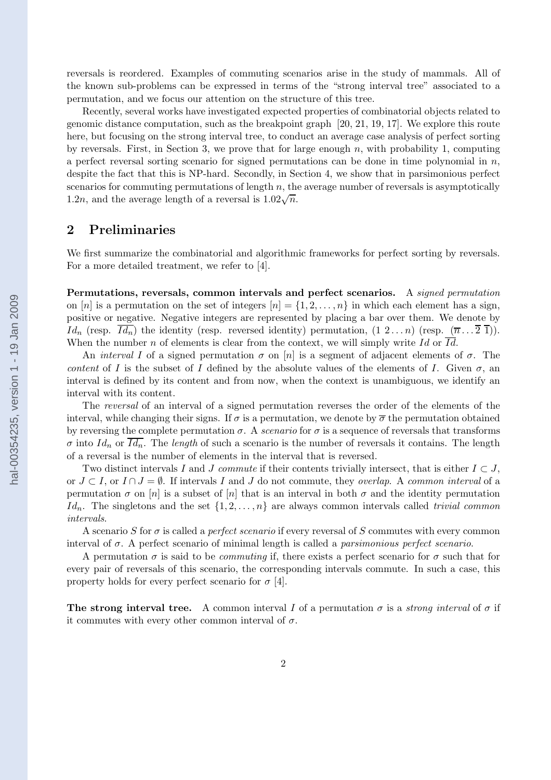reversals is reordered. Examples of commuting scenarios arise in the study of mammals. All of the known sub-problems can be expressed in terms of the "strong interval tree" associated to a permutation, and we focus our attention on the structure of this tree.

Recently, several works have investigated expected properties of combinatorial objects related to genomic distance computation, such as the breakpoint graph [[20, 21, 19](#page-11-0), [17](#page-11-0)]. We explore this route here, but focusing on the strong interval tree, to conduct an average case analysis of perfect sorting by reversals. First, in Section [3,](#page-3-0) we prove that for large enough  $n$ , with probability 1, computing a perfect reversal sorting scenario for signed permutations can be done in time polynomial in  $n$ , despite the fact that this is NP-hard. Secondly, in Section [4](#page-5-0), we show that in parsimonious perfect scenarios for commuting permutations of length  $n$ , the average number of reversals is asymptotically 1.2n, and the average length of a reversal is  $1.02\sqrt{n}$ .

### 2 Preliminaries

We first summarize the combinatorial and algorithmic frameworks for perfect sorting by reversals. For a more detailed treatment, we refer to [\[4\]](#page-10-0).

Permutations, reversals, common intervals and perfect scenarios. A *signed permutation* on [n] is a permutation on the set of integers  $[n] = \{1, 2, \ldots, n\}$  in which each element has a sign, positive or negative. Negative integers are represented by placing a bar over them. We denote by  $Id_n$  (resp.  $\overline{Id_n}$ ) the identity (resp. reversed identity) permutation,  $(1 \ 2 \dots n)$  (resp.  $(\overline{n} \dots \overline{2} \ \overline{1})$ ). When the number n of elements is clear from the context, we will simply write Id or  $\overline{Id}$ .

An *interval* I of a signed permutation  $\sigma$  on [n] is a segment of adjacent elements of  $\sigma$ . The *content* of I is the subset of I defined by the absolute values of the elements of I. Given  $\sigma$ , an interval is defined by its content and from now, when the context is unambiguous, we identify an interval with its content.

The *reversal* of an interval of a signed permutation reverses the order of the elements of the interval, while changing their signs. If  $\sigma$  is a permutation, we denote by  $\overline{\sigma}$  the permutation obtained by reversing the complete permutation  $\sigma$ . A *scenario* for  $\sigma$  is a sequence of reversals that transforms  $\sigma$  into  $Id_n$  or  $\overline{Id_n}$ . The *length* of such a scenario is the number of reversals it contains. The length of a reversal is the number of elements in the interval that is reversed.

Two distinct intervals I and J *commute* if their contents trivially intersect, that is either  $I \subset J$ , or J ⊂ I, or I ∩ J = ∅. If intervals I and J do not commute, they *overlap*. A *common interval* of a permutation  $\sigma$  on  $[n]$  is a subset of  $[n]$  that is an interval in both  $\sigma$  and the identity permutation  $Id_n$ . The singletons and the set  $\{1, 2, \ldots, n\}$  are always common intervals called *trivial common intervals*.

A scenario S for  $\sigma$  is called a *perfect scenario* if every reversal of S commutes with every common interval of σ. A perfect scenario of minimal length is called a *parsimonious perfect scenario*.

A permutation  $\sigma$  is said to be *commuting* if, there exists a perfect scenario for  $\sigma$  such that for every pair of reversals of this scenario, the corresponding intervals commute. In such a case, this property holds for every perfect scenario for  $\sigma$  [[4](#page-10-0)].

The strong interval tree. A common interval I of a permutation  $\sigma$  is a *strong interval* of  $\sigma$  if it commutes with every other common interval of  $\sigma$ .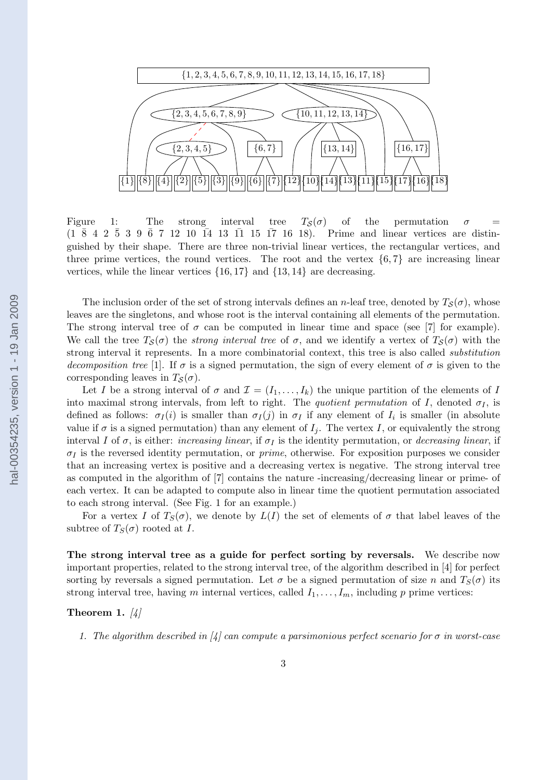<span id="page-2-0"></span>

Figure 1: The strong interval tree  $T_{\mathcal{S}}(\sigma)$  of the permutation  $\sigma$  =  $(1 \ \overline{8} \ 4 \ 2 \ \overline{5} \ 3 \ 9 \ \overline{6} \ 7 \ 12 \ 10 \ \overline{14} \ 13 \ \overline{11} \ 15 \ \overline{17} \ 16 \ 18)$ . Prime and linear vertices are distinguished by their shape. There are three non-trivial linear vertices, the rectangular vertices, and three prime vertices, the round vertices. The root and the vertex  $\{6, 7\}$  are increasing linear vertices, while the linear vertices  $\{16, 17\}$  and  $\{13, 14\}$  are decreasing.

The inclusion order of the set of strong intervals defines an n-leaf tree, denoted by  $T_{\mathcal{S}}(\sigma)$ , whose leaves are the singletons, and whose root is the interval containing all elements of the permutation. Thestrong interval tree of  $\sigma$  can be computed in linear time and space (see [[7](#page-10-0)] for example). We call the tree  $T_{\mathcal{S}}(\sigma)$  the *strong interval tree* of  $\sigma$ , and we identify a vertex of  $T_{\mathcal{S}}(\sigma)$  with the strong interval it represents. In a more combinatorial context, this tree is also called *substitution decomposition tree* [\[1\]](#page-10-0). If  $\sigma$  is a signed permutation, the sign of every element of  $\sigma$  is given to the corresponding leaves in  $T_{\mathcal{S}}(\sigma)$ .

Let I be a strong interval of  $\sigma$  and  $\mathcal{I} = (I_1, \ldots, I_k)$  the unique partition of the elements of I into maximal strong intervals, from left to right. The *quotient permutation* of I, denoted  $\sigma_I$ , is defined as follows:  $\sigma_I(i)$  is smaller than  $\sigma_I(j)$  in  $\sigma_I$  if any element of  $I_i$  is smaller (in absolute value if  $\sigma$  is a signed permutation) than any element of  $I_j$ . The vertex I, or equivalently the strong interval I of  $\sigma$ , is either: *increasing linear*, if  $\sigma<sub>I</sub>$  is the identity permutation, or *decreasing linear*, if  $\sigma_l$  is the reversed identity permutation, or *prime*, otherwise. For exposition purposes we consider that an increasing vertex is positive and a decreasing vertex is negative. The strong interval tree as computed in the algorithm of[[7](#page-10-0)] contains the nature -increasing/decreasing linear or prime- of each vertex. It can be adapted to compute also in linear time the quotient permutation associated to each strong interval. (See Fig. 1 for an example.)

For a vertex I of  $T_S(\sigma)$ , we denote by  $L(I)$  the set of elements of  $\sigma$  that label leaves of the subtree of  $T_S(\sigma)$  rooted at I.

The strong interval tree as a guide for perfect sorting by reversals. We describe now important properties, related to the strong interval tree, of the algorithm described in[[4](#page-10-0)] for perfect sorting by reversals a signed permutation. Let  $\sigma$  be a signed permutation of size n and  $T_S(\sigma)$  its strong interval tree, having m internal vertices, called  $I_1, \ldots, I_m$ , including p prime vertices:

#### Theorem 1. *[\[4\]](#page-10-0)*

*1.The algorithm described in*  $\vert \psi \vert$  can compute a parsimonious perfect scenario for  $\sigma$  in worst-case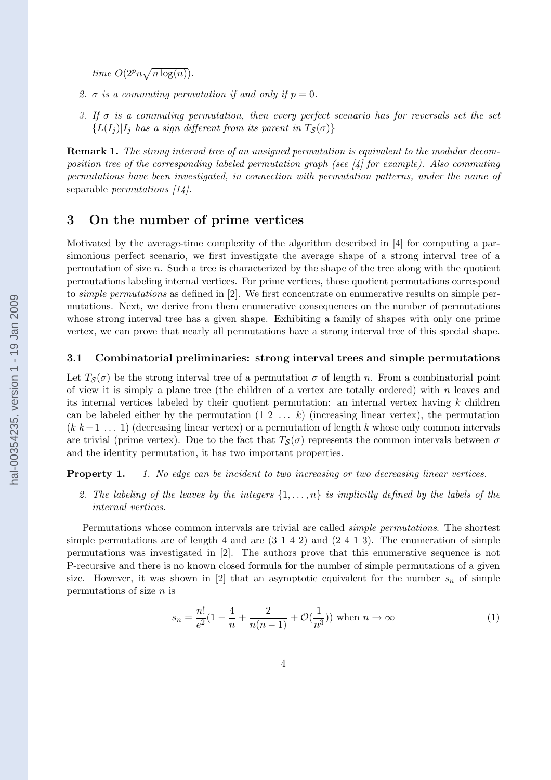<span id="page-3-0"></span>*time*  $O(2^p n \sqrt{n \log(n)})$ .

- 2.  $\sigma$  *is a commuting permutation if and only if*  $p = 0$ .
- *3. If* σ *is a commuting permutation, then every perfect scenario has for reversals set the set*  ${L(I<sub>i</sub>)|I<sub>i</sub>}$  *has a sign different from its parent in*  $T<sub>S</sub>(\sigma)$ }

Remark 1. *The strong interval tree of an unsigned permutation is equivalent to the modular decomposition tree of the corresponding labeled permutation graph (see [\[4\]](#page-10-0) for example). Also commuting permutations have been investigated, in connection with permutation patterns, under the name of* separable *permutations [\[14](#page-10-0)].*

## 3 On the number of prime vertices

Motivated by the average-time complexity of the algorithm described in[[4](#page-10-0)] for computing a parsimonious perfect scenario, we first investigate the average shape of a strong interval tree of a permutation of size  $n$ . Such a tree is characterized by the shape of the tree along with the quotient permutations labeling internal vertices. For prime vertices, those quotient permutations correspond to *simple permutations* as defined in [\[2\]](#page-10-0). We first concentrate on enumerative results on simple permutations. Next, we derive from them enumerative consequences on the number of permutations whose strong interval tree has a given shape. Exhibiting a family of shapes with only one prime vertex, we can prove that nearly all permutations have a strong interval tree of this special shape.

#### 3.1 Combinatorial preliminaries: strong interval trees and simple permutations

Let  $T_{\mathcal{S}}(\sigma)$  be the strong interval tree of a permutation  $\sigma$  of length n. From a combinatorial point of view it is simply a plane tree (the children of a vertex are totally ordered) with  $n$  leaves and its internal vertices labeled by their quotient permutation: an internal vertex having  $k$  children can be labeled either by the permutation  $(1\ 2\ \ldots\ k)$  (increasing linear vertex), the permutation  $(k k-1 ... 1)$  (decreasing linear vertex) or a permutation of length k whose only common intervals are trivial (prime vertex). Due to the fact that  $T_{\mathcal{S}}(\sigma)$  represents the common intervals between  $\sigma$ and the identity permutation, it has two important properties.

Property 1. *1. No edge can be incident to two increasing or two decreasing linear vertices.*

2. The labeling of the leaves by the integers  $\{1,\ldots,n\}$  is implicitly defined by the labels of the *internal vertices.*

Permutations whose common intervals are trivial are called *simple permutations*. The shortest simple permutations are of length 4 and are  $(3 1 4 2)$  and  $(2 4 1 3)$ . The enumeration of simple permutations was investigated in[[2](#page-10-0)]. The authors prove that this enumerative sequence is not P-recursive and there is no known closed formula for the number of simple permutations of a given size.However, it was shown in [[2\]](#page-10-0) that an asymptotic equivalent for the number  $s_n$  of simple permutations of size  $n$  is

$$
s_n = \frac{n!}{e^2} (1 - \frac{4}{n} + \frac{2}{n(n-1)} + \mathcal{O}(\frac{1}{n^3})) \text{ when } n \to \infty
$$
 (1)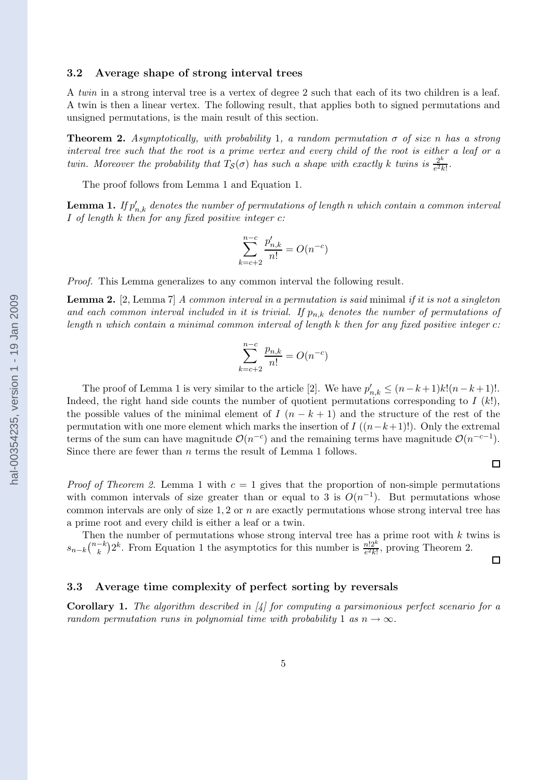#### <span id="page-4-0"></span>3.2 Average shape of strong interval trees

A *twin* in a strong interval tree is a vertex of degree 2 such that each of its two children is a leaf. A twin is then a linear vertex. The following result, that applies both to signed permutations and unsigned permutations, is the main result of this section.

Theorem 2. *Asymptotically, with probability* 1*, a random permutation* σ *of size* n *has a strong interval tree such that the root is a prime vertex and every child of the root is either a leaf or a twin. Moreover the probability that*  $T_S(\sigma)$  *has such a shape with exactly* k *twins* is  $\frac{2^k}{e^2k}$  $\frac{2^n}{e^2k!}$ .

The proof follows from Lemma 1 and Equation [1](#page-3-0).

 ${\bf Lemma~1.}$  *If*  $p'_{n,k}$  denotes the number of permutations of length  $n$  which contain a common interval I *of length* k *then for any fixed positive integer* c*:*

$$
\sum_{k=c+2}^{n-c} \frac{p'_{n,k}}{n!} = O(n^{-c})
$$

*Proof.* This Lemma generalizes to any common interval the following result.

Lemma 2. [\[2,](#page-10-0) Lemma 7] *A common interval in a permutation is said* minimal *if it is not a singleton* and each common interval included in it is trivial. If  $p_{n,k}$  denotes the number of permutations of *length* n *which contain a minimal common interval of length* k *then for any fixed positive integer* c*:*

$$
\sum_{k=c+2}^{n-c} \frac{p_{n,k}}{n!} = O(n^{-c})
$$

The proof of Lemma 1 is very similar to the article [\[2\]](#page-10-0). We have  $p'_{n,k} \le (n-k+1)k!(n-k+1)!$ . Indeed, the right hand side counts the number of quotient permutations corresponding to  $I(k!)$ , the possible values of the minimal element of  $I(n-k+1)$  and the structure of the rest of the permutation with one more element which marks the insertion of I  $((n-k+1)!)$ . Only the extremal terms of the sum can have magnitude  $\mathcal{O}(n^{-c})$  and the remaining terms have magnitude  $\mathcal{O}(n^{-c-1})$ . Since there are fewer than *n* terms the result of Lemma 1 follows.

 $\Box$ 

*Proof of Theorem 2.* Lemma 1 with  $c = 1$  gives that the proportion of non-simple permutations with common intervals of size greater than or equal to 3 is  $O(n^{-1})$ . But permutations whose common intervals are only of size  $1, 2$  or n are exactly permutations whose strong interval tree has a prime root and every child is either a leaf or a twin.

Then the number of permutations whose strong interval tree has a prime root with  $k$  twins is  $s_{n-k} \binom{n-k}{k} 2^k$ . From Equation [1](#page-3-0) the asymptotics for this number is  $\frac{n!2^k}{e^2k!}$ , proving Theorem 2.

 $\Box$ 

#### 3.3 Average time complexity of perfect sorting by reversals

Corollary 1. *The algorithm described in [\[4\]](#page-10-0) for computing a parsimonious perfect scenario for a random permutation runs in polynomial time with probability* 1 *as*  $n \rightarrow \infty$ *.*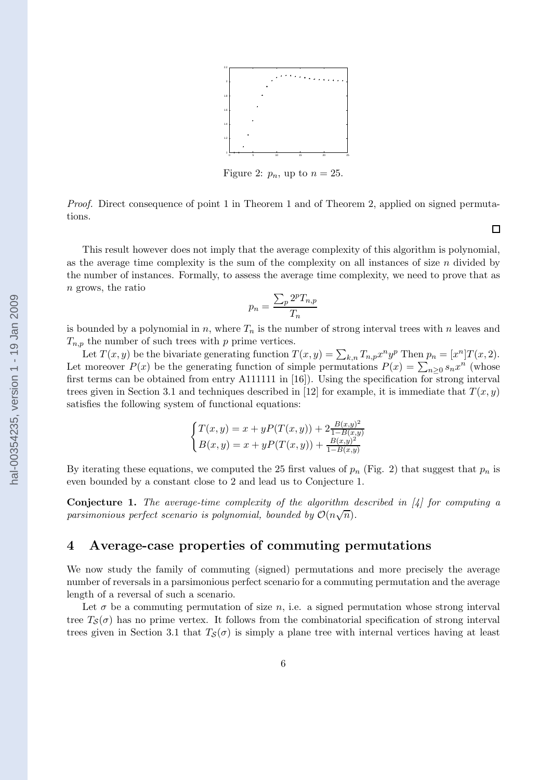

Figure 2:  $p_n$ , up to  $n = 25$ .

<span id="page-5-0"></span>*Proof.* Direct consequence of point [1](#page-2-0) in Theorem 1 and of Theorem [2](#page-4-0), applied on signed permutations.

 $\Box$ 

This result however does not imply that the average complexity of this algorithm is polynomial, as the average time complexity is the sum of the complexity on all instances of size  $n$  divided by the number of instances. Formally, to assess the average time complexity, we need to prove that as n grows, the ratio

$$
p_n = \frac{\sum_p 2^p T_{n,p}}{T_n}
$$

is bounded by a polynomial in n, where  $T_n$  is the number of strong interval trees with n leaves and  $T_{n,p}$  the number of such trees with p prime vertices.

Let  $T(x, y)$  be the bivariate generating function  $T(x, y) = \sum_{k,n} T_{n,p} x^n y^p$  Then  $p_n = [x^n] T(x, 2)$ . Let moreover  $P(x)$  be the generating function of simple permutations  $P(x) = \sum_{n\geq 0} s_n x^n$  (whose first terms can be obtained from entry A111111 in [\[16](#page-11-0)]). Using the specification for strong interval trees given in Section [3.1](#page-3-0) and techniques described in [\[12](#page-10-0)] for example, it is immediate that  $T(x, y)$ satisfies the following system of functional equations:

$$
\begin{cases}\nT(x,y) = x + yP(T(x,y)) + 2\frac{B(x,y)^2}{1 - B(x,y)} \\
B(x,y) = x + yP(T(x,y)) + \frac{B(x,y)^2}{1 - B(x,y)}\n\end{cases}
$$

By iterating these equations, we computed the 25 first values of  $p_n$  (Fig. 2) that suggest that  $p_n$  is even bounded by a constant close to 2 and lead us to Conjecture 1.

Conjecture 1. *The average-time complexity of the algorithm described in[[4](#page-10-0)] for computing a* parsimonious perfect scenario is polynomial, bounded by  $\mathcal{O}(n\sqrt{n})$ .

### 4 Average-case properties of commuting permutations

We now study the family of commuting (signed) permutations and more precisely the average number of reversals in a parsimonious perfect scenario for a commuting permutation and the average length of a reversal of such a scenario.

Let  $\sigma$  be a commuting permutation of size n, i.e. a signed permutation whose strong interval tree  $T_{\mathcal{S}}(\sigma)$  has no prime vertex. It follows from the combinatorial specification of strong interval trees given in Section [3.1](#page-3-0) that  $T_{\mathcal{S}}(\sigma)$  is simply a plane tree with internal vertices having at least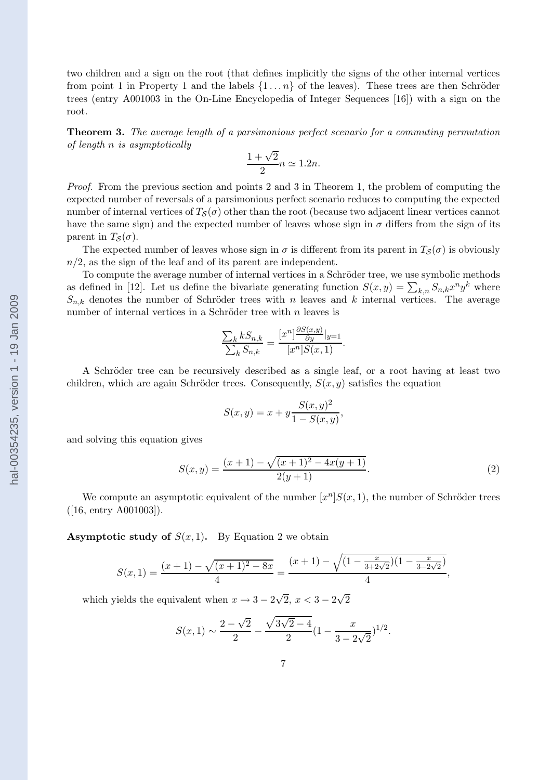<span id="page-6-0"></span>two children and a sign on the root (that defines implicitly the signs of the other internal vertices from point 1 in Property 1 and the labels  $\{1 \dots n\}$  of the leaves). These trees are then Schröder trees (entry A001003 in the On-Line Encyclopedia of Integer Sequences[[16](#page-11-0)]) with a sign on the root.

Theorem 3. *The average length of a parsimonious perfect scenario for a commuting permutation of length* n *is asymptotically*

$$
\frac{1+\sqrt{2}}{2}n \simeq 1.2n.
$$

*Proof.* From the previous section and points 2 and 3 in Theorem [1,](#page-2-0) the problem of computing the expected number of reversals of a parsimonious perfect scenario reduces to computing the expected number of internal vertices of  $T_{\mathcal{S}}(\sigma)$  other than the root (because two adjacent linear vertices cannot have the same sign) and the expected number of leaves whose sign in  $\sigma$  differs from the sign of its parent in  $T_{\mathcal{S}}(\sigma)$ .

The expected number of leaves whose sign in  $\sigma$  is different from its parent in  $T_{\mathcal{S}}(\sigma)$  is obviously  $n/2$ , as the sign of the leaf and of its parent are independent.

To compute the average number of internal vertices in a Schröder tree, we use symbolic methods as defined in [\[12\]](#page-10-0). Let us define the bivariate generating function  $S(x, y) = \sum_{k,n} S_{n,k} x^n y^k$  where  $S_{n,k}$  denotes the number of Schröder trees with n leaves and k internal vertices. The average number of internal vertices in a Schröder tree with  $n$  leaves is

$$
\frac{\sum_{k} k S_{n,k}}{\sum_{k} S_{n,k}} = \frac{[x^n]^{\frac{\partial S(x,y)}{\partial y}}|_{y=1}}{[x^n]S(x,1)}.
$$

A Schröder tree can be recursively described as a single leaf, or a root having at least two children, which are again Schröder trees. Consequently,  $S(x, y)$  satisfies the equation

$$
S(x, y) = x + y \frac{S(x, y)^2}{1 - S(x, y)},
$$

and solving this equation gives

$$
S(x,y) = \frac{(x+1) - \sqrt{(x+1)^2 - 4x(y+1)}}{2(y+1)}.
$$
\n(2)

We compute an asymptotic equivalent of the number  $[x^n]S(x,1)$ , the number of Schröder trees ([\[16](#page-11-0), entry A001003]).

**Asymptotic study of**  $S(x, 1)$ . By Equation 2 we obtain

$$
S(x,1) = \frac{(x+1) - \sqrt{(x+1)^2 - 8x}}{4} = \frac{(x+1) - \sqrt{(1 - \frac{x}{3+2\sqrt{2}})(1 - \frac{x}{3-2\sqrt{2}})}}{4},
$$

which yields the equivalent when  $x \to 3 - 2\sqrt{2}$ ,  $x < 3 - 2\sqrt{2}$ 

$$
S(x, 1) \sim \frac{2 - \sqrt{2}}{2} - \frac{\sqrt{3\sqrt{2} - 4}}{2} (1 - \frac{x}{3 - 2\sqrt{2}})^{1/2}.
$$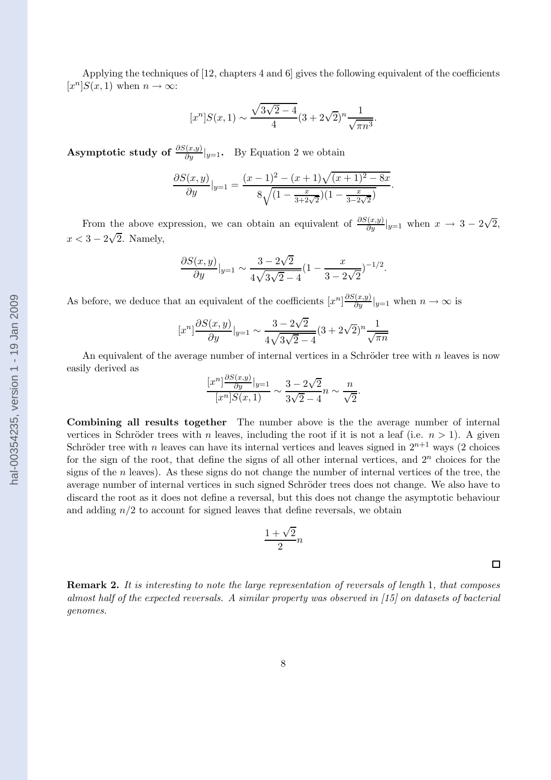<span id="page-7-0"></span>Applying the techniques of [\[12](#page-10-0), chapters 4 and 6] gives the following equivalent of the coefficients  $[x^n]S(x,1)$  when  $n \to \infty$ :

$$
[x^{n}]S(x,1) \sim \frac{\sqrt{3\sqrt{2}-4}}{4}(3+2\sqrt{2})^{n}\frac{1}{\sqrt{\pi n^{3}}}.
$$

Asymptotic study of  $\frac{\partial S(x,y)}{\partial y}|_{y=1}$ . By Equation [2](#page-6-0) we obtain

$$
\frac{\partial S(x,y)}{\partial y}|_{y=1} = \frac{(x-1)^2 - (x+1)\sqrt{(x+1)^2 - 8x}}{8\sqrt{(1 - \frac{x}{3+2\sqrt{2}})(1 - \frac{x}{3-2\sqrt{2}})}}.
$$

From the above expression, we can obtain an equivalent of  $\frac{\partial S(x,y)}{\partial y}|_{y=1}$  when  $x \to 3 - 2\sqrt{2}$ ,  $x < 3 - 2\sqrt{2}$ . Namely,

$$
\frac{\partial S(x,y)}{\partial y}|_{y=1} \sim \frac{3 - 2\sqrt{2}}{4\sqrt{3\sqrt{2} - 4}} (1 - \frac{x}{3 - 2\sqrt{2}})^{-1/2}.
$$

As before, we deduce that an equivalent of the coefficients  $[x^n] \frac{\partial S(x,y)}{\partial y}|_{y=1}$  when  $n \to \infty$  is

$$
[x^n] \frac{\partial S(x,y)}{\partial y}|_{y=1} \sim \frac{3 - 2\sqrt{2}}{4\sqrt{3\sqrt{2} - 4}} (3 + 2\sqrt{2})^n \frac{1}{\sqrt{\pi n}}
$$

An equivalent of the average number of internal vertices in a Schröder tree with  $n$  leaves is now easily derived as

$$
\frac{[x^n]\frac{\partial S(x,y)}{\partial y}|_{y=1}}{[x^n]S(x,1)} \sim \frac{3-2\sqrt{2}}{3\sqrt{2}-4}n \sim \frac{n}{\sqrt{2}}.
$$

Combining all results together The number above is the the average number of internal vertices in Schröder trees with n leaves, including the root if it is not a leaf (i.e.  $n > 1$ ). A given Schröder tree with n leaves can have its internal vertices and leaves signed in  $2^{n+1}$  ways (2 choices for the sign of the root, that define the signs of all other internal vertices, and  $2<sup>n</sup>$  choices for the signs of the n leaves). As these signs do not change the number of internal vertices of the tree, the average number of internal vertices in such signed Schröder trees does not change. We also have to discard the root as it does not define a reversal, but this does not change the asymptotic behaviour and adding  $n/2$  to account for signed leaves that define reversals, we obtain

$$
\frac{1+\sqrt{2}}{2}n
$$

Remark 2. *It is interesting to note the large representation of reversals of length* 1*, that composes almost half of the expected reversals. A similar property was observed in[[15\]](#page-11-0) on datasets of bacterial genomes.*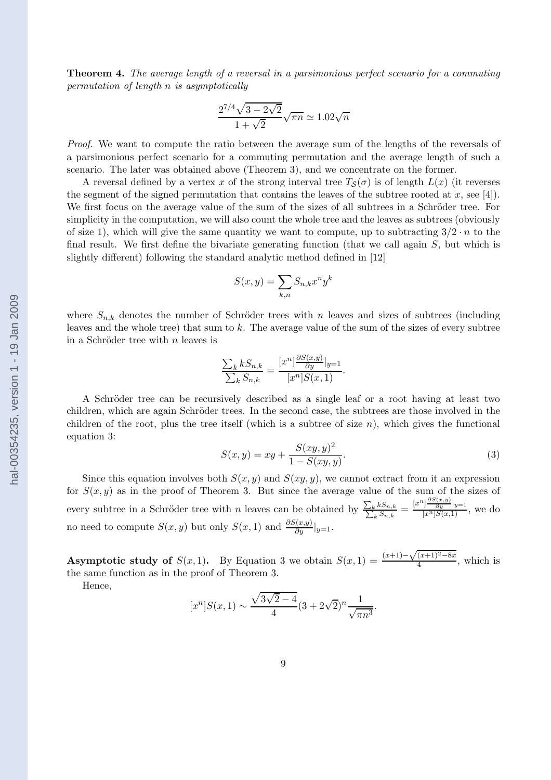<span id="page-8-0"></span>Theorem 4. *The average length of a reversal in a parsimonious perfect scenario for a commuting permutation of length* n *is asymptotically*

$$
\frac{2^{7/4}\sqrt{3-2\sqrt{2}}}{1+\sqrt{2}}\sqrt{\pi n}\simeq 1.02\sqrt{n}
$$

*Proof.* We want to compute the ratio between the average sum of the lengths of the reversals of a parsimonious perfect scenario for a commuting permutation and the average length of such a scenario. The later was obtained above (Theorem [3](#page-6-0)), and we concentrate on the former.

A reversal defined by a vertex x of the strong interval tree  $T_{\mathcal{S}}(\sigma)$  is of length  $L(x)$  (it reverses the segment of the signed permutation that contains the leaves of the subtree rooted at  $x$ , see [\[4\]](#page-10-0)). We first focus on the average value of the sum of the sizes of all subtrees in a Schröder tree. For simplicity in the computation, we will also count the whole tree and the leaves as subtrees (obviously of size 1), which will give the same quantity we want to compute, up to subtracting  $3/2 \cdot n$  to the final result. We first define the bivariate generating function (that we call again  $S$ , but which is slightly different) following the standard analytic method defined in [\[12](#page-10-0)]

$$
S(x,y) = \sum_{k,n} S_{n,k} x^n y^k
$$

where  $S_{n,k}$  denotes the number of Schröder trees with n leaves and sizes of subtrees (including leaves and the whole tree) that sum to k. The average value of the sum of the sizes of every subtree in a Schröder tree with  $n$  leaves is

$$
\frac{\sum_{k} k S_{n,k}}{\sum_{k} S_{n,k}} = \frac{[x^n]^{\frac{\partial S(x,y)}{\partial y}}|_{y=1}}{[x^n]S(x,1)}.
$$

A Schröder tree can be recursively described as a single leaf or a root having at least two children, which are again Schröder trees. In the second case, the subtrees are those involved in the children of the root, plus the tree itself (which is a subtree of size  $n$ ), which gives the functional equation 3:

$$
S(x,y) = xy + \frac{S(xy,y)^2}{1 - S(xy,y)}.
$$
\n(3)

Since this equation involves both  $S(x, y)$  and  $S(xy, y)$ , we cannot extract from it an expression for  $S(x, y)$  as in the proof of Theorem [3](#page-6-0). But since the average value of the sum of the sizes of every subtree in a Schröder tree with n leaves can be obtained by  $\frac{\sum_{k}}{\sum_{i}}$  $kS_{n,k}$  $\frac{kS_{n,k}}{kS_{n,k}} = \frac{[x^n]\frac{\partial S(x,y)}{\partial y}|_{y=1}}{[x^n]S(x,1)},$  we do no need to compute  $S(x, y)$  but only  $S(x, 1)$  and  $\frac{\partial S(x, y)}{\partial y}|_{y=1}$ .

**Asymptotic study of**  $S(x, 1)$ . By Equation 3 we obtain  $S(x, 1) = \frac{(x+1)-\sqrt{(x+1)^2-8x}}{4}$ , which is the same function as in the proof of Theorem [3](#page-6-0).

Hence,

$$
[x^{n}]S(x,1) \sim \frac{\sqrt{3\sqrt{2}-4}}{4}(3+2\sqrt{2})^{n}\frac{1}{\sqrt{\pi n^{3}}}.
$$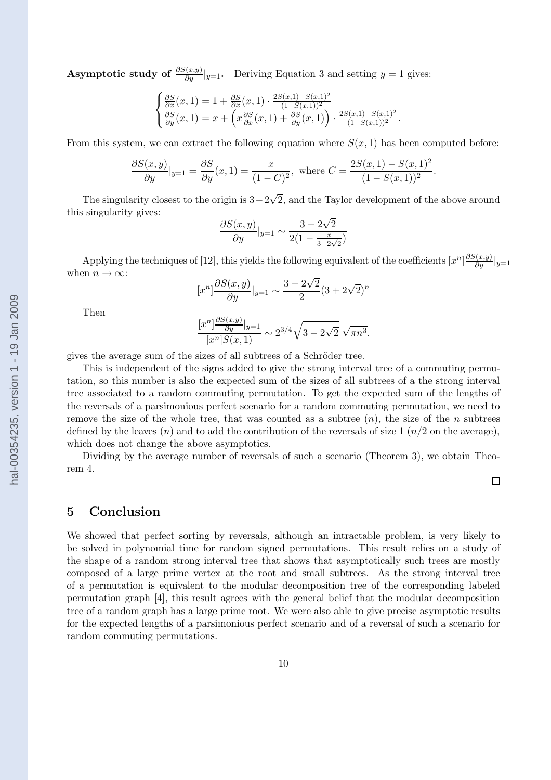**Asymptotic study of**  $\frac{\partial S(x,y)}{\partial y}|_{y=1}$ . Deriving Equation [3](#page-8-0) and setting  $y = 1$  gives:

$$
\begin{cases}\n\frac{\partial S}{\partial x}(x,1) = 1 + \frac{\partial S}{\partial x}(x,1) \cdot \frac{2S(x,1) - S(x,1)^2}{(1 - S(x,1))^2} \\
\frac{\partial S}{\partial y}(x,1) = x + \left(x \frac{\partial S}{\partial x}(x,1) + \frac{\partial S}{\partial y}(x,1)\right) \cdot \frac{2S(x,1) - S(x,1)^2}{(1 - S(x,1))^2}.\n\end{cases}
$$

From this system, we can extract the following equation where  $S(x, 1)$  has been computed before:

$$
\frac{\partial S(x,y)}{\partial y}|_{y=1} = \frac{\partial S}{\partial y}(x,1) = \frac{x}{(1-C)^2}, \text{ where } C = \frac{2S(x,1) - S(x,1)^2}{(1-S(x,1))^2}.
$$

The singularity closest to the origin is  $3-2\sqrt{2}$ , and the Taylor development of the above around this singularity gives:

$$
\frac{\partial S(x,y)}{\partial y}|_{y=1} \sim \frac{3 - 2\sqrt{2}}{2(1 - \frac{x}{3 - 2\sqrt{2}})}
$$

Applying the techniques of [\[12\]](#page-10-0), this yields the following equivalent of the coefficients  $[x^n]\frac{\partial S(x,y)}{\partial y}|_{y=1}$ when  $n \to \infty$ :

$$
[x^n] \frac{\partial S(x,y)}{\partial y}|_{y=1} \sim \frac{3 - 2\sqrt{2}}{2} (3 + 2\sqrt{2})^n
$$

Then

$$
\frac{[x^n]\frac{\partial S(x,y)}{\partial y}|_{y=1}}{[x^n]S(x,1)} \sim 2^{3/4}\sqrt{3-2\sqrt{2}}\sqrt{\pi n^3}.
$$

gives the average sum of the sizes of all subtrees of a Schröder tree.

This is independent of the signs added to give the strong interval tree of a commuting permutation, so this number is also the expected sum of the sizes of all subtrees of a the strong interval tree associated to a random commuting permutation. To get the expected sum of the lengths of the reversals of a parsimonious perfect scenario for a random commuting permutation, we need to remove the size of the whole tree, that was counted as a subtree  $(n)$ , the size of the n subtrees defined by the leaves  $(n)$  and to add the contribution of the reversals of size 1  $(n/2$  on the average), which does not change the above asymptotics.

Dividing by the average number of reversals of such a scenario (Theorem [3](#page-6-0)), we obtain Theorem [4](#page-7-0).

 $\Box$ 

### 5 Conclusion

We showed that perfect sorting by reversals, although an intractable problem, is very likely to be solved in polynomial time for random signed permutations. This result relies on a study of the shape of a random strong interval tree that shows that asymptotically such trees are mostly composed of a large prime vertex at the root and small subtrees. As the strong interval tree of a permutation is equivalent to the modular decomposition tree of the corresponding labeled permutation graph[[4](#page-10-0)], this result agrees with the general belief that the modular decomposition tree of a random graph has a large prime root. We were also able to give precise asymptotic results for the expected lengths of a parsimonious perfect scenario and of a reversal of such a scenario for random commuting permutations.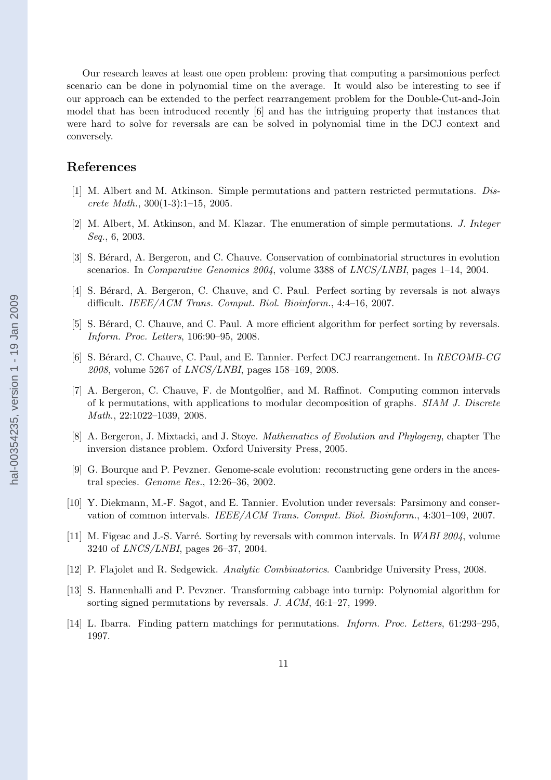<span id="page-10-0"></span>Our research leaves at least one open problem: proving that computing a parsimonious perfect scenario can be done in polynomial time on the average. It would also be interesting to see if our approach can be extended to the perfect rearrangement problem for the Double-Cut-and-Join model that has been introduced recently [6] and has the intriguing property that instances that were hard to solve for reversals are can be solved in polynomial time in the DCJ context and conversely.

### References

- [1] M. Albert and M. Atkinson. Simple permutations and pattern restricted permutations. *Discrete Math.*, 300(1-3):1–15, 2005.
- [2] M. Albert, M. Atkinson, and M. Klazar. The enumeration of simple permutations. *J. Integer Seq.*, 6, 2003.
- [3] S. Bérard, A. Bergeron, and C. Chauve. Conservation of combinatorial structures in evolution scenarios. In *Comparative Genomics 2004*, volume 3388 of *LNCS/LNBI*, pages 1–14, 2004.
- [4] S. Bérard, A. Bergeron, C. Chauve, and C. Paul. Perfect sorting by reversals is not always difficult. *IEEE/ACM Trans. Comput. Biol. Bioinform.*, 4:4–16, 2007.
- [5] S. Bérard, C. Chauve, and C. Paul. A more efficient algorithm for perfect sorting by reversals. *Inform. Proc. Letters*, 106:90–95, 2008.
- [6] S. B´erard, C. Chauve, C. Paul, and E. Tannier. Perfect DCJ rearrangement. In *RECOMB-CG 2008*, volume 5267 of *LNCS/LNBI*, pages 158–169, 2008.
- [7] A. Bergeron, C. Chauve, F. de Montgolfier, and M. Raffinot. Computing common intervals of k permutations, with applications to modular decomposition of graphs. *SIAM J. Discrete Math.*, 22:1022–1039, 2008.
- [8] A. Bergeron, J. Mixtacki, and J. Stoye. *Mathematics of Evolution and Phylogeny*, chapter The inversion distance problem. Oxford University Press, 2005.
- [9] G. Bourque and P. Pevzner. Genome-scale evolution: reconstructing gene orders in the ancestral species. *Genome Res.*, 12:26–36, 2002.
- [10] Y. Diekmann, M.-F. Sagot, and E. Tannier. Evolution under reversals: Parsimony and conservation of common intervals. *IEEE/ACM Trans. Comput. Biol. Bioinform.*, 4:301–109, 2007.
- [11] M. Figeac and J.-S. Varré. Sorting by reversals with common intervals. In *WABI 2004*, volume 3240 of *LNCS/LNBI*, pages 26–37, 2004.
- [12] P. Flajolet and R. Sedgewick. *Analytic Combinatorics*. Cambridge University Press, 2008.
- [13] S. Hannenhalli and P. Pevzner. Transforming cabbage into turnip: Polynomial algorithm for sorting signed permutations by reversals. *J. ACM*, 46:1–27, 1999.
- [14] L. Ibarra. Finding pattern matchings for permutations. *Inform. Proc. Letters*, 61:293–295, 1997.